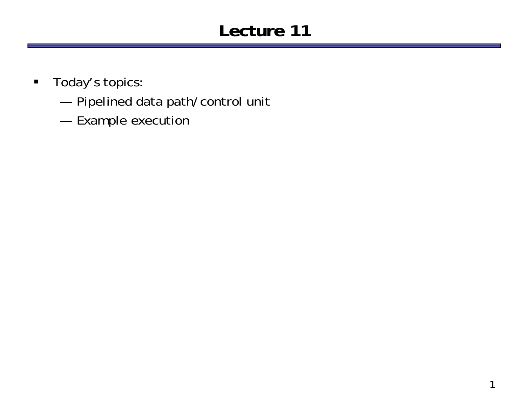# **Lecture 11**

- $\blacksquare$  Today's topics:
	- —Pipelined data path/control unit
	- —Example execution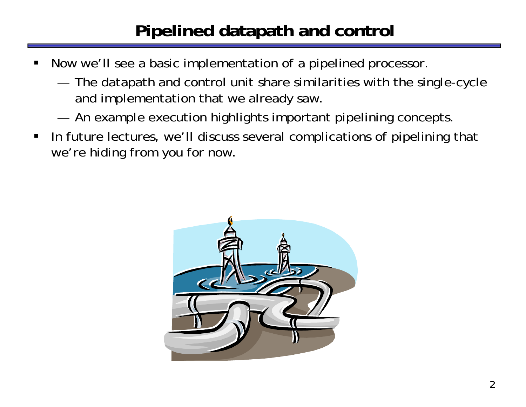# **Pipelined datapath and control**

- ш Now we'll see a basic implementation of a pipelined processor.
	- — The datapath and control unit share similarities with the single-cycle and implementation that we already saw.
	- —An example execution highlights important pipelining concepts.
- $\blacksquare$  In future lectures, we'll discuss several complications of pipelining that we're hiding from you for now.

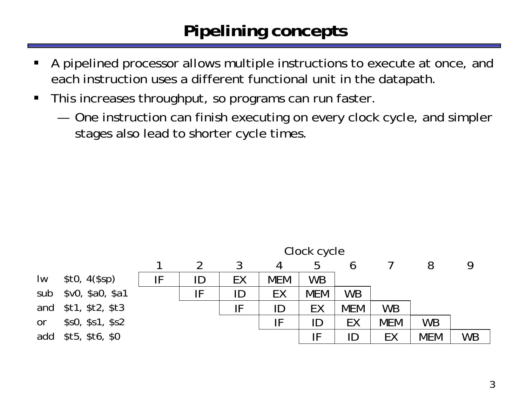## **Pipelining concepts**

- ш A pipelined processor allows multiple instructions to execute at once, and each instruction uses a different functional unit in the datapath.
- $\blacksquare$  This increases throughput, so programs can run faster.
	- — One instruction can finish executing on every clock cycle, and simpler stages also lead to shorter cycle times.

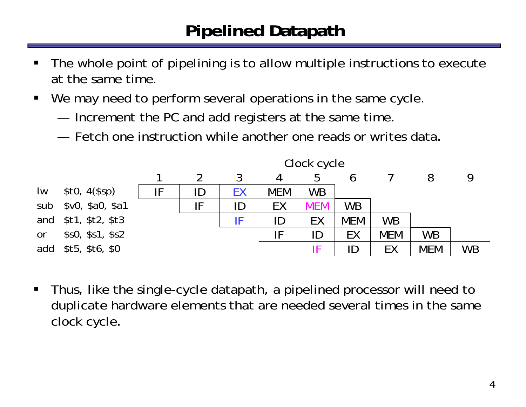## **Pipelined Datapath**

- ш The whole point of pipelining is to allow multiple instructions to execute at the same time.
- $\blacksquare$ We may need to perform several operations in the same cycle.
	- —Increment the PC and add registers at the same time.
	- Fetch one instruction while another one reads or writes data.



 $\blacksquare$  Thus, like the single-cycle datapath, a pipelined processor will need to duplicate hardware elements that are needed several times in the same clock cycle.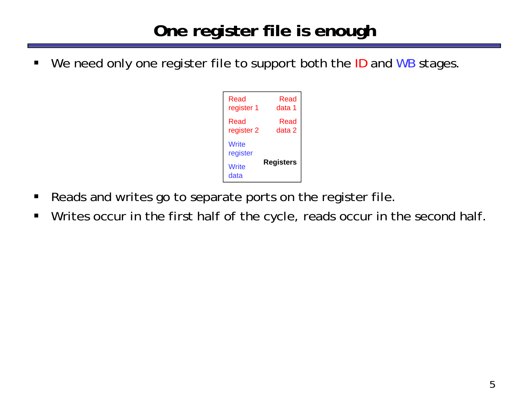## **One register file is enough**

ш We need only one register file to support both the ID and WB stages.



- $\blacksquare$ Reads and writes go to separate ports on the register file.
- $\blacksquare$ Writes occur in the first half of the cycle, reads occur in the second half.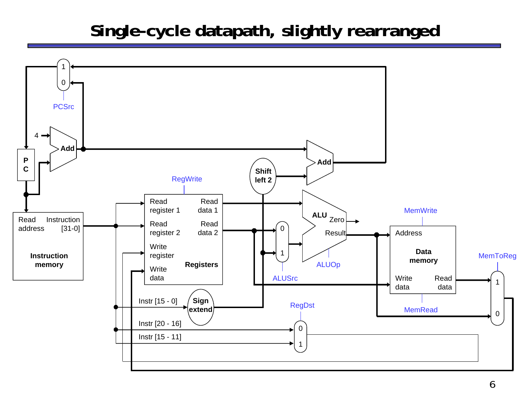### **Single-cycle datapath, slightly rearranged**

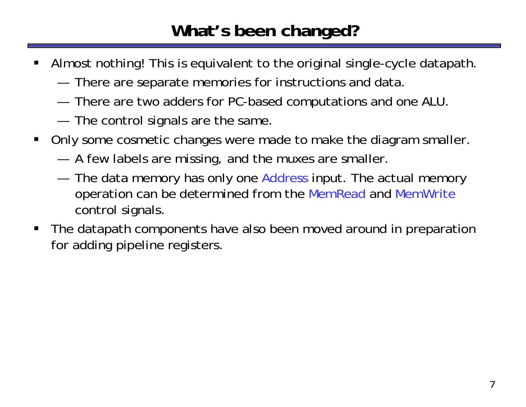## **What's been changed?**

- ш Almost nothing! This is equivalent to the original single-cycle datapath.
	- —There are separate memories for instructions and data.
	- —There are two adders for PC-based computations and one ALU.
	- —The control signals are the same.
- $\blacksquare$  Only some cosmetic changes were made to make the diagram smaller.
	- —A few labels are missing, and the muxes are smaller.
	- —The data memory has only one Address input. The actual memory operation can be determined from the MemRead and MemWrite control signals.
- П The datapath components have also been moved around in preparation for adding pipeline registers.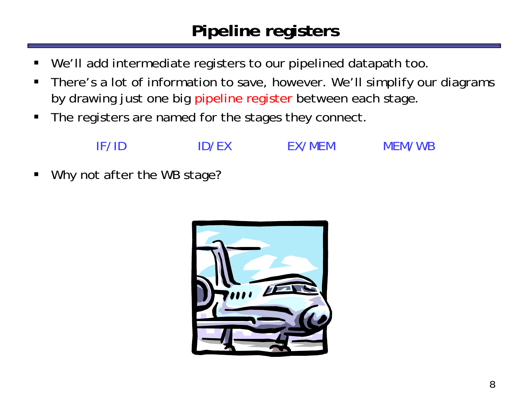## **Pipeline registers**

- ш We'll add intermediate registers to our pipelined datapath too.
- $\blacksquare$  There's a lot of information to save, however. We'll simplify our diagrams by drawing just one big pipeline register between each stage.
- $\blacksquare$ The registers are named for the stages they connect.

![](_page_7_Picture_4.jpeg)

 $\blacksquare$ Why not after the WB stage?

![](_page_7_Picture_8.jpeg)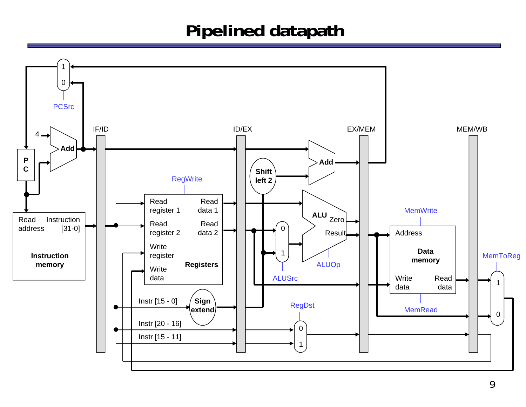### **Pipelined datapath**

![](_page_8_Figure_1.jpeg)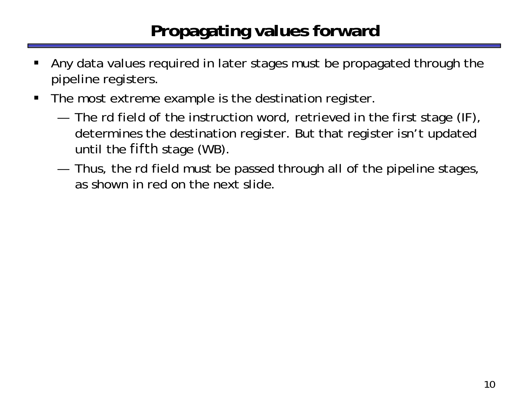## **Propagating values forward**

- ш Any data values required in later stages must be propagated through the pipeline registers.
- $\blacksquare$  The most extreme example is the destination register.
	- — The rd field of the instruction word, retrieved in the first stage (IF), determines the destination register. But that register isn't updated until the *fifth* stage (WB).
	- — Thus, the rd field must be passed through all of the pipeline stages, as shown in red on the next slide.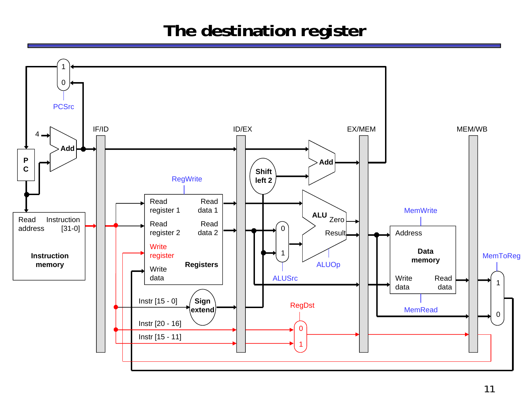## **The destination register**

![](_page_10_Figure_1.jpeg)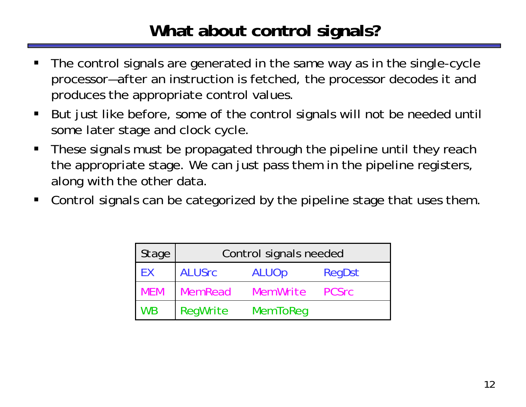## **What about control signals?**

- ш The control signals are generated in the same way as in the single-cycle processor—after an instruction is fetched, the processor decodes it and produces the appropriate control values.
- $\blacksquare$  But just like before, some of the control signals will not be needed until some later stage and clock cycle.
- $\blacksquare$  These signals must be propagated through the pipeline until they reach the appropriate stage. We can just pass them in the pipeline registers, along with the other data.
- $\blacksquare$ Control signals can be categorized by the pipeline stage that uses them.

| Stage      | Control signals needed |                 |              |
|------------|------------------------|-----------------|--------------|
| EX         | <b>ALUSrc</b>          | <b>ALUOp</b>    | RegDst       |
| <b>MEM</b> | MemRead                | MemWrite        | <b>PCSrc</b> |
| <b>WB</b>  | RegWrite               | <b>MemToReq</b> |              |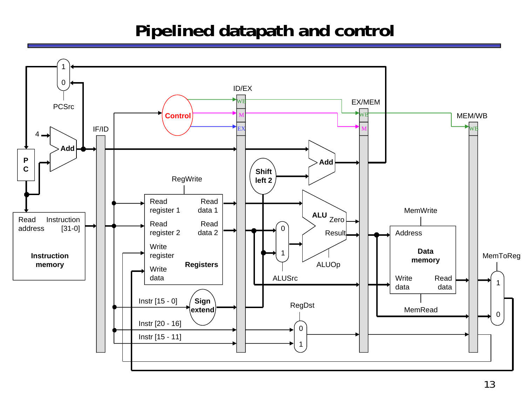## **Pipelined datapath and control**

![](_page_12_Figure_1.jpeg)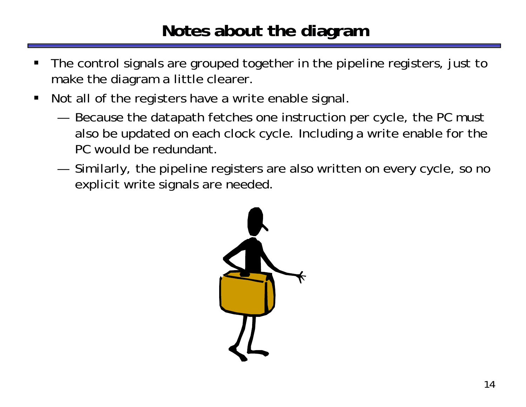## **Notes about the diagram**

- ш The control signals are grouped together in the pipeline registers, just to make the diagram a little clearer.
- $\blacksquare$  Not all of the registers have a write enable signal.
	- — Because the datapath fetches one instruction per cycle, the PC must also be updated on each clock cycle. Including a write enable for the PC would be redundant.
	- — Similarly, the pipeline registers are also written on every cycle, so no explicit write signals are needed.

![](_page_13_Picture_5.jpeg)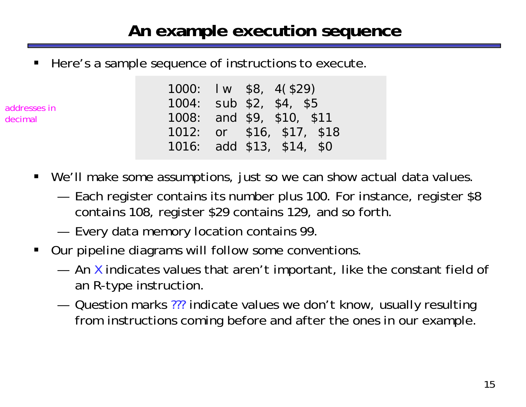### **An example execution sequence**

ш Here's a sample sequence of instructions to execute.

addresses in decimal

- 1000: lw \$8, 4(\$29) 1004: sub \$2, \$4, \$5 1008: and \$9, \$10, \$11 1012: or \$16, \$17, \$18 1016: add \$13, \$14, \$0
- We'll make some assumptions, just so we can show actual data values.
	- — Each register contains its number plus 100. For instance, register \$8 contains 108, register \$29 contains 129, and so forth.
	- —Every data memory location contains 99.
- $\blacksquare$  Our pipeline diagrams will follow some conventions.
	- $-$  An X indicates values that aren't important, like the constant field of an R-type instruction.
	- Question marks ??? indicate values we don't know, usually resulting from instructions coming before and after the ones in our example.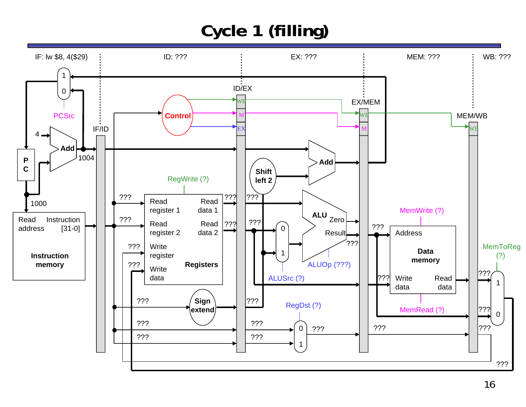# **Cycle 1 (filling)**

![](_page_15_Figure_1.jpeg)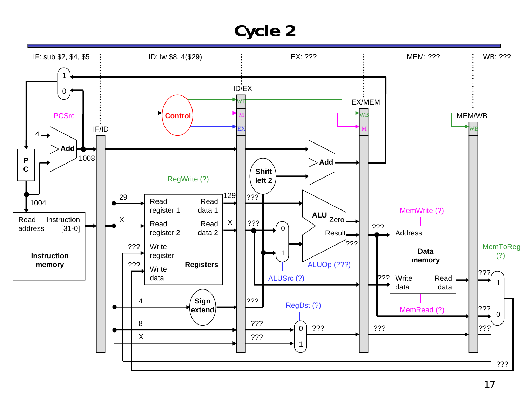![](_page_16_Figure_1.jpeg)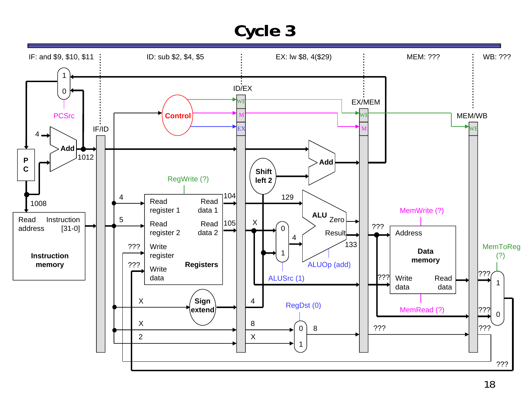![](_page_17_Figure_1.jpeg)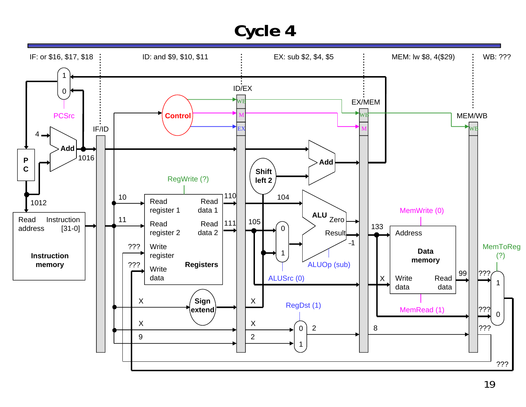![](_page_18_Figure_1.jpeg)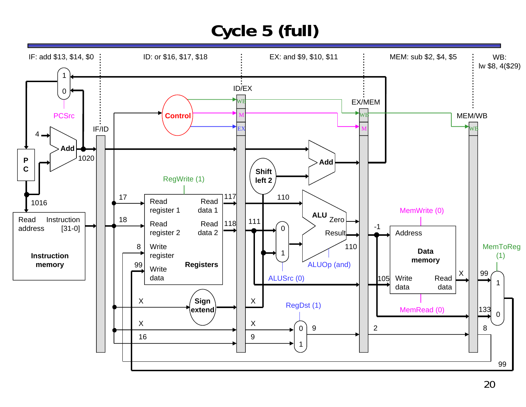# **Cycle 5 (full)**

![](_page_19_Figure_1.jpeg)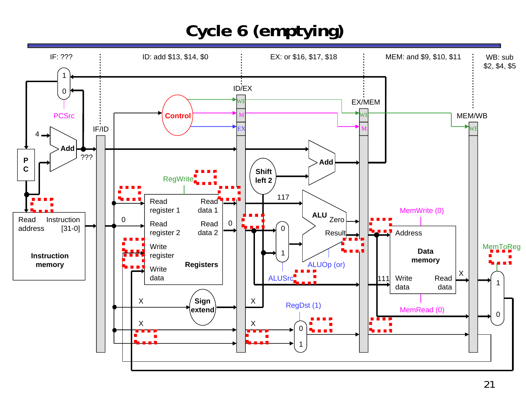# **Cycle 6 (emptying)**

![](_page_20_Figure_1.jpeg)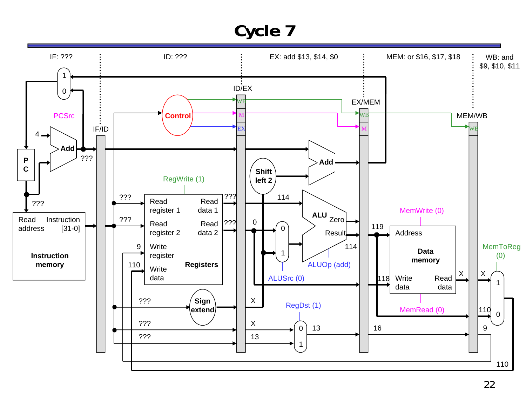![](_page_21_Figure_1.jpeg)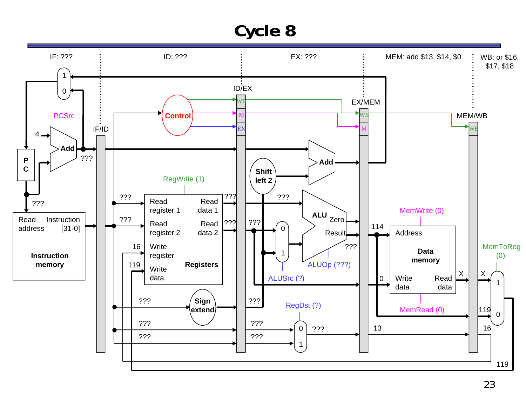![](_page_22_Figure_1.jpeg)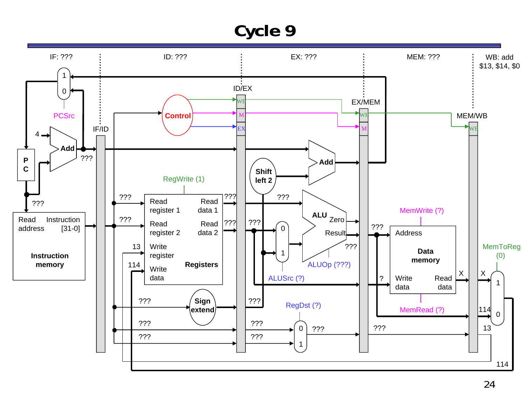![](_page_23_Figure_1.jpeg)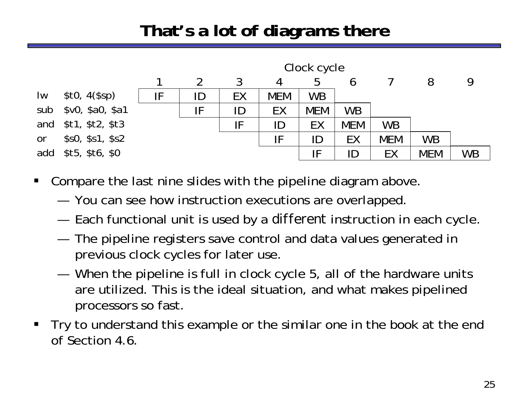## **That's a lot of diagrams there**

![](_page_24_Figure_1.jpeg)

- $\blacksquare$  Compare the last nine slides with the pipeline diagram above.
	- —You can see how instruction executions are overlapped.
	- —Each functional unit is used by a *different* instruction in each cycle.
	- — The pipeline registers save control and data values generated in previous clock cycles for later use.
	- — When the pipeline is full in clock cycle 5, all of the hardware units are utilized. This is the ideal situation, and what makes pipelined processors so fast.
- $\blacksquare$  Try to understand this example or the similar one in the book at the end of Section 4.6.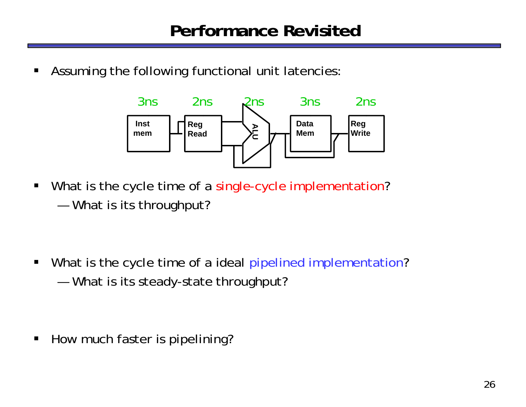$\blacksquare$ Assuming the following functional unit latencies:

![](_page_25_Figure_2.jpeg)

 $\blacksquare$ • What is the cycle time of a single-cycle implementation? —What is its throughput?

 $\blacksquare$ • What is the cycle time of a ideal pipelined implementation? —What is its steady-state throughput?

 $\blacksquare$ How much faster is pipelining?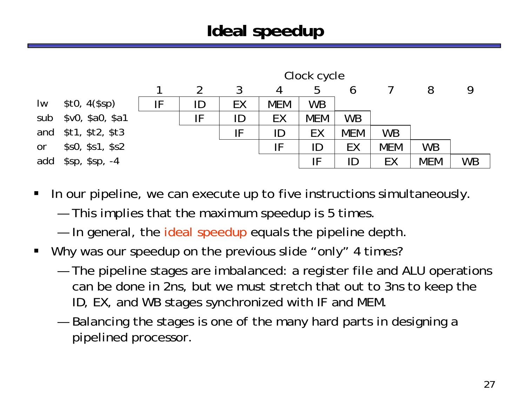## **Ideal speedup**

![](_page_26_Figure_1.jpeg)

 $\blacksquare$ In our pipeline, we can execute up to five instructions simultaneously.

—This implies that the maximum speedup is 5 times.

—In general, the ideal speedup equals the pipeline depth.

- $\blacksquare$ Why was our speedup on the previous slide "only" 4 times?
	- — The pipeline stages are imbalanced: a register file and ALU operations can be done in 2ns, but we must stretch that out to 3ns to keep the ID, EX, and WB stages synchronized with IF and MEM.
	- — Balancing the stages is one of the many hard parts in designing a pipelined processor.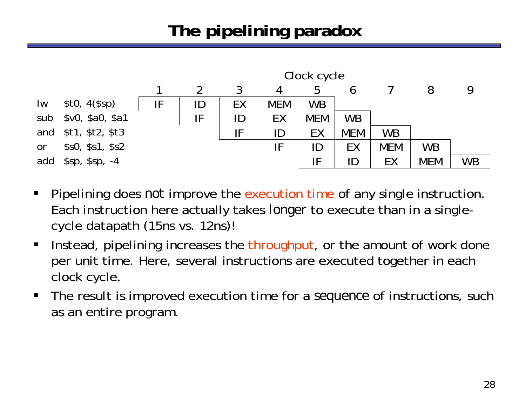# **The pipelining paradox**

![](_page_27_Figure_1.jpeg)

- $\blacksquare$  Pipelining does *not* improve the execution time of any single instruction. Each instruction here actually takes *longer* to execute than in a singlecycle datapath (15ns vs. 12ns)!
- $\blacksquare$  Instead, pipelining increases the throughput, or the amount of work done per unit time. Here, several instructions are executed together in each clock cycle.
- $\blacksquare$  The result is improved execution time for a *sequence* of instructions, such as an entire program.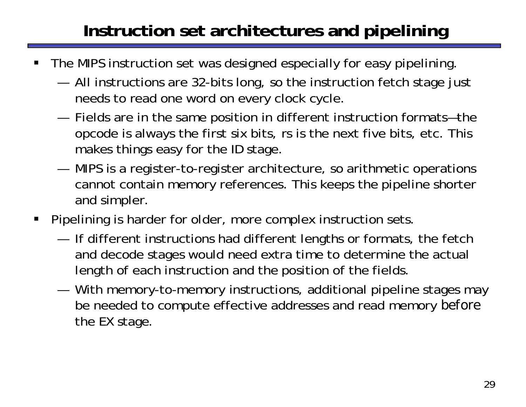## **Instruction set architectures and pipelining**

- ш The MIPS instruction set was designed especially for easy pipelining.
	- — All instructions are 32-bits long, so the instruction fetch stage just needs to read one word on every clock cycle.
	- — Fields are in the same position in different instruction formats—the opcode is always the first six bits, rs is the next five bits, etc. This makes things easy for the ID stage.
	- — MIPS is a register-to-register architecture, so arithmetic operations cannot contain memory references. This keeps the pipeline shorter and simpler.
- $\blacksquare$  Pipelining is harder for older, more complex instruction sets.
	- — If different instructions had different lengths or formats, the fetch and decode stages would need extra time to determine the actual length of each instruction and the position of the fields.
	- — With memory-to-memory instructions, additional pipeline stages may be needed to compute effective addresses and read memory *before*  the EX stage.